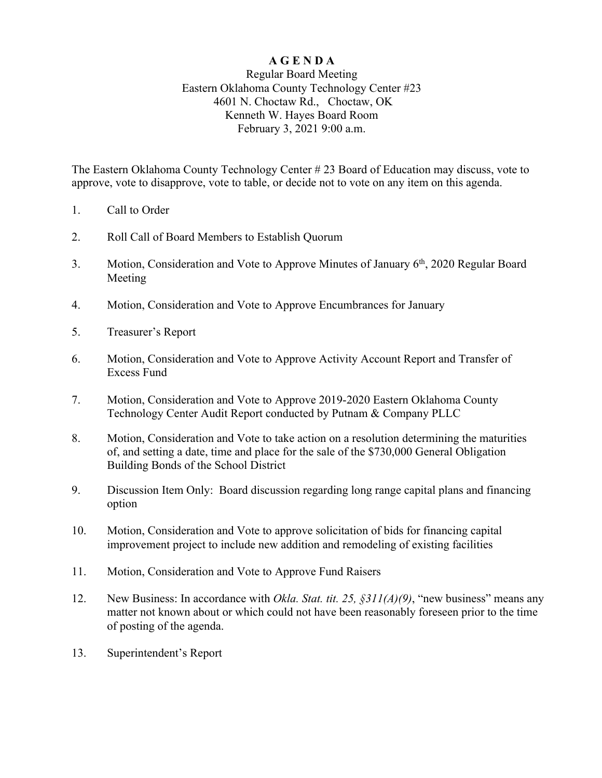# **A G E N D A**

# Regular Board Meeting Eastern Oklahoma County Technology Center #23 4601 N. Choctaw Rd., Choctaw, OK Kenneth W. Hayes Board Room February 3, 2021 9:00 a.m.

The Eastern Oklahoma County Technology Center # 23 Board of Education may discuss, vote to approve, vote to disapprove, vote to table, or decide not to vote on any item on this agenda.

- 1. Call to Order
- 2. Roll Call of Board Members to Establish Quorum
- 3. Motion, Consideration and Vote to Approve Minutes of January 6<sup>th</sup>, 2020 Regular Board Meeting
- 4. Motion, Consideration and Vote to Approve Encumbrances for January
- 5. Treasurer's Report
- 6. Motion, Consideration and Vote to Approve Activity Account Report and Transfer of Excess Fund
- 7. Motion, Consideration and Vote to Approve 2019-2020 Eastern Oklahoma County Technology Center Audit Report conducted by Putnam & Company PLLC
- 8. Motion, Consideration and Vote to take action on a resolution determining the maturities of, and setting a date, time and place for the sale of the \$730,000 General Obligation Building Bonds of the School District
- 9. Discussion Item Only: Board discussion regarding long range capital plans and financing option
- 10. Motion, Consideration and Vote to approve solicitation of bids for financing capital improvement project to include new addition and remodeling of existing facilities
- 11. Motion, Consideration and Vote to Approve Fund Raisers
- 12. New Business: In accordance with *Okla. Stat. tit. 25, §311(A)(9)*, "new business" means any matter not known about or which could not have been reasonably foreseen prior to the time of posting of the agenda.
- 13. Superintendent's Report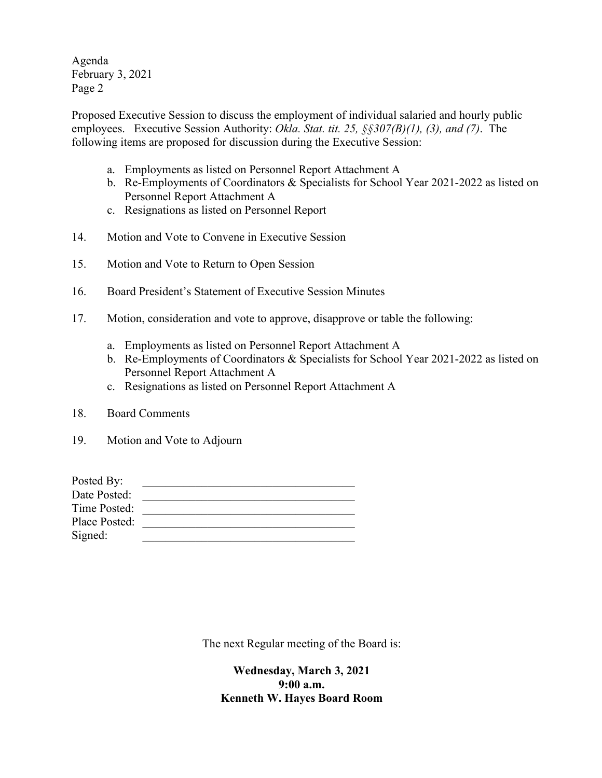Agenda February 3, 2021 Page 2

Proposed Executive Session to discuss the employment of individual salaried and hourly public employees. Executive Session Authority: *Okla. Stat. tit. 25, §§307(B)(1), (3), and (7)*. The following items are proposed for discussion during the Executive Session:

- a. Employments as listed on Personnel Report Attachment A
- b. Re-Employments of Coordinators & Specialists for School Year 2021-2022 as listed on Personnel Report Attachment A
- c. Resignations as listed on Personnel Report
- 14. Motion and Vote to Convene in Executive Session
- 15. Motion and Vote to Return to Open Session
- 16. Board President's Statement of Executive Session Minutes
- 17. Motion, consideration and vote to approve, disapprove or table the following:
	- a. Employments as listed on Personnel Report Attachment A
	- b. Re-Employments of Coordinators & Specialists for School Year 2021-2022 as listed on Personnel Report Attachment A
	- c. Resignations as listed on Personnel Report Attachment A
- 18. Board Comments
- 19. Motion and Vote to Adjourn

| Date Posted:<br>Time Posted: | Posted By: |  |
|------------------------------|------------|--|
|                              |            |  |
|                              |            |  |
| Place Posted:                |            |  |
| Signed:                      |            |  |

The next Regular meeting of the Board is:

**Wednesday, March 3, 2021 9:00 a.m. Kenneth W. Hayes Board Room**